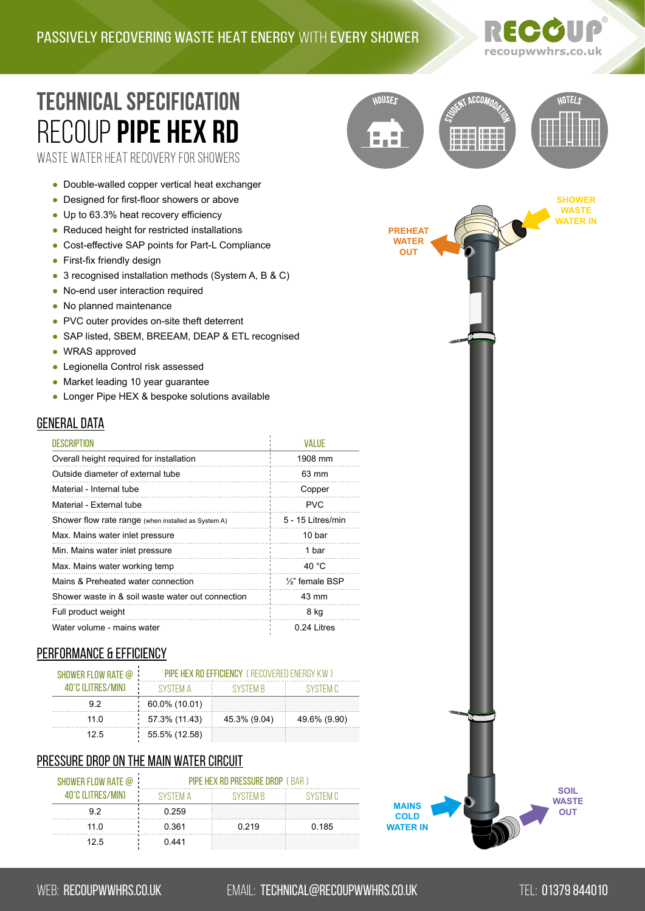HOUSES

a post



**CCO** 

**HOTELS** 

## **TECHNICAL SPECIFICATION** RECOUP **[pIPE HEX Rd](https://recoupwwhrs.co.uk/products/pipe-hex-rd/)** WASTE WATER HEAT RECOVERY FOR SHOWERS

- Double-walled copper vertical heat exchanger
- Designed for first-floor showers or above
- Up to 63.3% heat recovery efficiency
- Reduced height for restricted installations
- Cost-effective SAP points for Part-L Compliance
- First-fix friendly design
- 3 recognised installation methods (System A, B & C)
- No-end user interaction required
- No planned maintenance
- PVC outer provides on-site theft deterrent
- SAP listed, SBEM, BREEAM, DEAP & ETL recognised
- WRAS approved
- Legionella Control risk assessed
- Market leading 10 year guarantee
- Longer Pipe HEX & bespoke solutions available

### **GENERAL DATA**

| <b>DESCRIPTION</b>                                  | <b>VALUE</b>                 |
|-----------------------------------------------------|------------------------------|
| Overall height required for installation            | 1908 mm                      |
| Outside diameter of external tube                   | 63 mm                        |
| Material - Internal tube                            | Copper                       |
| Material - External tube                            | PVC.                         |
| Shower flow rate range (when installed as System A) | 5 - 15 Litres/min            |
| Max. Mains water inlet pressure                     | 10 bar                       |
| Min. Mains water inlet pressure                     | 1 bar                        |
| Max. Mains water working temp                       | 40 $^{\circ}$ C              |
| Mains & Preheated water connection                  | 1/ <sub>2</sub> " female BSP |
| Shower waste in & soil waste water out connection   | 43 mm                        |
| Full product weight                                 | 8 kg                         |
| Water volume - mains water                          | 0.24 Litres                  |

### PERFORMANCE & EFFICIENCY

| SHOWER FLOW RATE @ | <b>PIPE HEX RD FFFICIENCY</b> (RECOVERED ENFRGY KW) |              |              |  |
|--------------------|-----------------------------------------------------|--------------|--------------|--|
| 40°C (I ITRES/MIN) | SYSTEM A                                            | SYSTEM B     | SYSTEM C     |  |
| 92                 | 60.0% (10.01)                                       |              |              |  |
| 11 $\Omega$        | 57.3% (11.43)                                       | 45.3% (9.04) | 49.6% (9.90) |  |
| 12.5               | 55.5% (12.58)                                       |              |              |  |

#### Pressure drop on the main water circuit

| SHOWER FLOW RATE @ : | PIPE HEX RD PRESSURE DROP (BAR) |                 |          |
|----------------------|---------------------------------|-----------------|----------|
| 40°C (I ITRES/MIN)   | SYSTEM A                        | <b>SYSTEM B</b> | SYSTEM C |
| 92                   | 0.259                           |                 |          |
| 110                  | 0.361                           | 0.219           | 0.185    |
| 12.5                 | 0.441                           |                 |          |

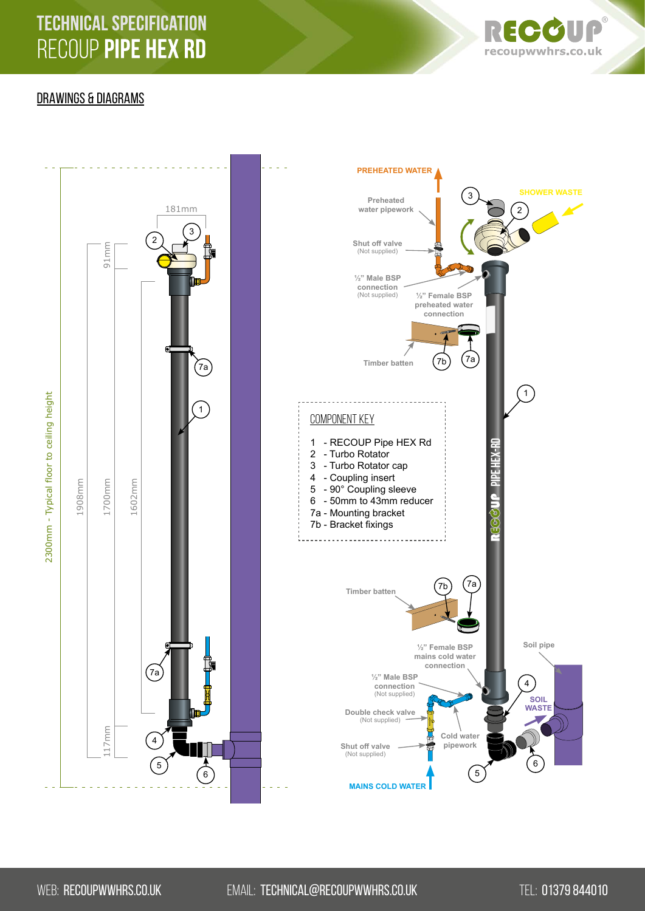# **TECHNICAL SPECIFICATION** RECOUP PIPE HEX RD



### DRAWINGS & DIAGRAMS